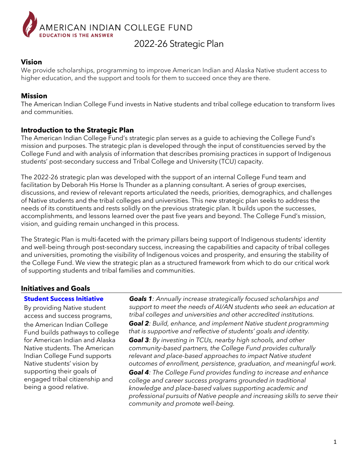

# 2022-26 Strategic Plan

# **Vision**

We provide scholarships, programming to improve American Indian and Alaska Native student access to higher education, and the support and tools for them to succeed once they are there.

# **Mission**

The American Indian College Fund invests in Native students and tribal college education to transform lives and communities.

## **Introduction to the Strategic Plan**

The American Indian College Fund's strategic plan serves as a guide to achieving the College Fund's mission and purposes. The strategic plan is developed through the input of constituencies served by the College Fund and with analysis of information that describes promising practices in support of Indigenous students' post-secondary success and Tribal College and University (TCU) capacity.

The 2022-26 strategic plan was developed with the support of an internal College Fund team and facilitation by Deborah His Horse Is Thunder as a planning consultant. A series of group exercises, discussions, and review of relevant reports articulated the needs, priorities, demographics, and challenges of Native students and the tribal colleges and universities. This new strategic plan seeks to address the needs of its constituents and rests solidly on the previous strategic plan. It builds upon the successes, accomplishments, and lessons learned over the past five years and beyond. The College Fund's mission, vision, and guiding remain unchanged in this process.

The Strategic Plan is multi-faceted with the primary pillars being support of Indigenous students' identity and well-being through post-secondary success, increasing the capabilities and capacity of tribal colleges and universities, promoting the visibility of Indigenous voices and prosperity, and ensuring the stability of the College Fund. We view the strategic plan as a structured framework from which to do our critical work of supporting students and tribal families and communities.

### **Initiatives and Goals**

#### **Student Success Initiative**

By providing Native student access and success programs, the American Indian College Fund builds pathways to college for American Indian and Alaska Native students. The American Indian College Fund supports Native students' vision by supporting their goals of engaged tribal citizenship and being a good relative.

*Goals 1: Annually increase strategically focused scholarships and support to meet the needs of AI/AN students who seek an education at tribal colleges and universities and other accredited institutions.*

*Goal 2: Build, enhance, and implement Native student programming that is supportive and reflective of students' goals and identity.*

*Goal 3: By investing in TCUs, nearby high schools, and other community-based partners, the College Fund provides culturally relevant and place-based approaches to impact Native student outcomes of enrollment, persistence, graduation, and meaningful work.*

*Goal 4: The College Fund provides funding to increase and enhance college and career success programs grounded in traditional knowledge and place-based values supporting academic and professional pursuits of Native people and increasing skills to serve their community and promote well-being.*